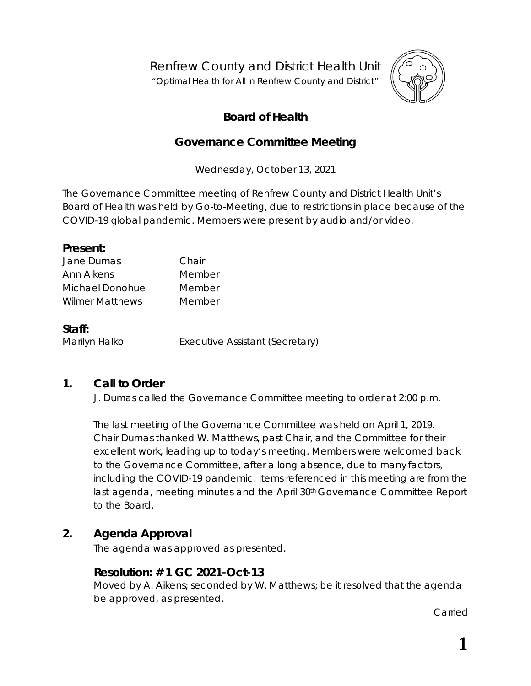Renfrew County and District Health Unit "*Optimal Health for All in Renfrew County and District"*



# **Board of Health**

# **Governance Committee Meeting**

Wednesday, October 13, 2021

The Governance Committee meeting of Renfrew County and District Health Unit's Board of Health was held by *Go-to-Meeting,* due to restrictions in place because of the COVID-19 global pandemic. Members were present by audio and/or video.

| Present:               |        |  |
|------------------------|--------|--|
| Jane Dumas             | Chair  |  |
| Ann Aikens             | Member |  |
| Michael Donohue        | Member |  |
| <b>Wilmer Matthews</b> | Member |  |
| Staff:                 |        |  |

Marilyn Halko **Executive Assistant (Secretary)** 

# **1. Call to Order**

J. Dumas called the Governance Committee meeting to order at 2:00 p.m.

The last meeting of the Governance Committee was held on April 1, 2019. Chair Dumas thanked W. Matthews, past Chair, and the Committee for their excellent work, leading up to today's meeting. Members were welcomed back to the Governance Committee, after a long absence, due to many factors, including the COVID-19 pandemic. Items referenced in this meeting are from the last agenda, meeting minutes and the April 30<sup>th</sup> Governance Committee Report to the Board.

# **2. Agenda Approval**

The agenda was approved as presented.

# **Resolution: # 1 GC 2021-Oct-13**

Moved by A. Aikens; seconded by W. Matthews; be it resolved that the agenda be approved, as presented.

Carried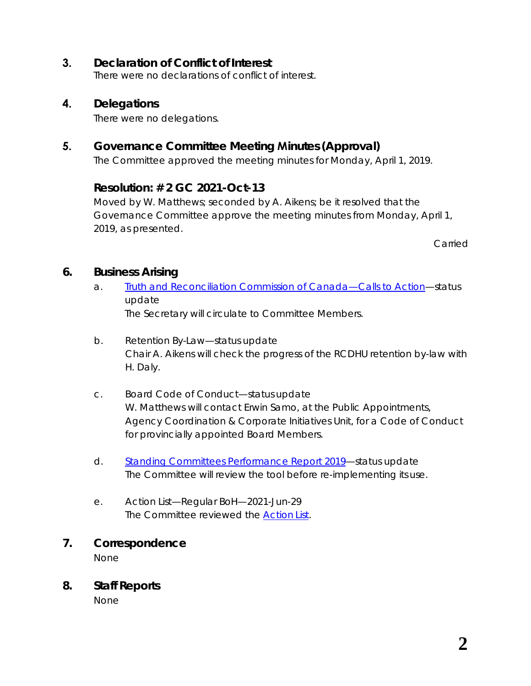# **3. Declaration of Conflict of Interest**

There were no declarations of conflict of interest.

#### **4. Delegations**

There were no delegations.

# **5. Governance Committee Meeting Minutes (Approval)**

The Committee approved the meeting minutes for Monday, April 1, 2019.

#### **Resolution: # 2 GC 2021-Oct-13**

Moved by W. Matthews; seconded by A. Aikens; be it resolved that the Governance Committee approve the meeting minutes from Monday, April 1, 2019, as presented.

Carried

#### **6. Business Arising**

- a. *[Truth and Reconciliation Commission of Canada—Calls to Action](https://www2.gov.bc.ca/assets/gov/british-columbians-our-governments/indigenous-people/aboriginal-peoples-documents/calls_to_action_english2.pdf)*—status update The Secretary will circulate to Committee Members.
- b. Retention By-Law—status update Chair A. Aikens will check the progress of the RCDHU retention by-law with H. Daly.
- c. Board Code of Conduct—status update W. Matthews will contact Erwin Samo, at the Public Appointments, Agency Coordination & Corporate Initiatives Unit, for a Code of Conduct for provincially appointed Board Members.
- d. *[Standing Committees Performance Report 2019](https://www.rcdhu.com/wp-content/uploads/2019/02/Standing-Committees-Performance-Outcomes-Resources.pdf)*—status update The Committee will review the tool before re-implementing its use.
- e. Action List—Regular BoH—2021-Jun-29 The Committee reviewed the *[Action](https://www.rcdhu.com/wp-content/uploads/2021/11/06.-a.-Action-List-Regular-Board-Meeting-2021-Jun-29-1.pdf) List*.

#### **7. Correspondence**

None

#### **8. Staff Reports**

None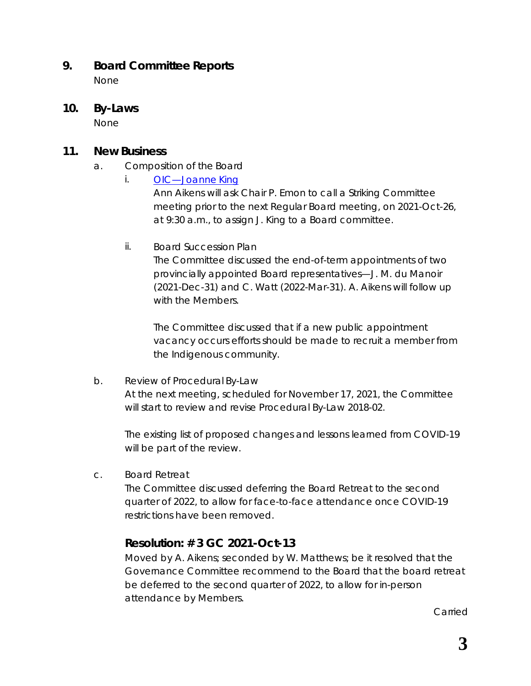### **9. Board Committee Reports**

None

**10. By-Laws**

None

### **11. New Business**

- a. Composition of the Board
	- *i. [OIC—Joanne](https://www.rcdhu.com/wp-content/uploads/2021/11/11.-a.-i.-OIC-Joanne-King.pdf) King*

Ann Aikens will ask Chair P. Emon to call a Striking Committee meeting prior to the next Regular Board meeting, on 2021-Oct-26, at 9:30 a.m., to assign J. King to a Board committee.

ii. Board Succession Plan

The Committee discussed the end-of-term appointments of two provincially appointed Board representatives—J. M. du Manoir (2021-Dec-31) and C. Watt (2022-Mar-31). A. Aikens will follow up with the Members.

The Committee discussed that if a new public appointment vacancy occurs efforts should be made to recruit a member from the Indigenous community.

b. Review of Procedural By-Law

At the next meeting, scheduled for November 17, 2021, the Committee will start to review and revise *Procedural By-Law 2018-02*.

The existing list of proposed changes and lessons learned from COVID-19 will be part of the review.

c. Board Retreat

The Committee discussed deferring the Board Retreat to the second quarter of 2022, to allow for face-to-face attendance once COVID-19 restrictions have been removed.

# **Resolution: # 3 GC 2021-Oct-13**

Moved by A. Aikens; seconded by W. Matthews; be it resolved that the Governance Committee recommend to the Board that the board retreat be deferred to the second quarter of 2022, to allow for in-person attendance by Members.

Carried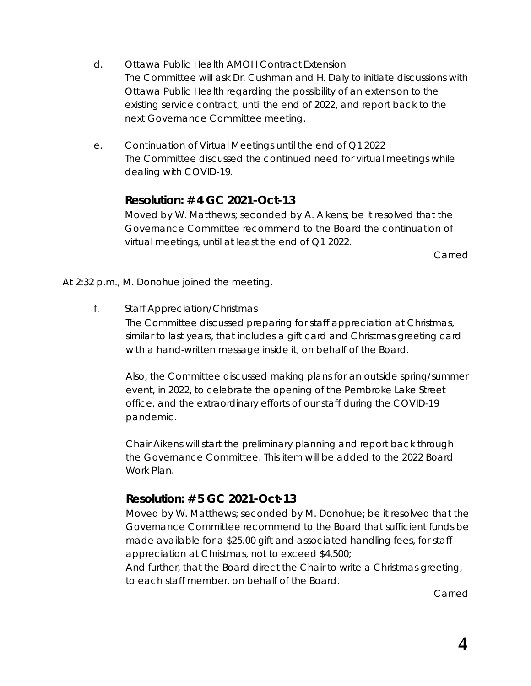- d. Ottawa Public Health AMOH Contract Extension The Committee will ask Dr. Cushman and H. Daly to initiate discussions with Ottawa Public Health regarding the possibility of an extension to the existing service contract, until the end of 2022, and report back to the next Governance Committee meeting.
- e. Continuation of Virtual Meetings until the end of Q1 2022 The Committee discussed the continued need for virtual meetings while dealing with COVID-19.

#### **Resolution: # 4 GC 2021-Oct-13**

Moved by W. Matthews; seconded by A. Aikens; be it resolved that the Governance Committee recommend to the Board the continuation of virtual meetings, until at least the end of Q1 2022.

Carried

At 2:32 p.m., M. Donohue joined the meeting.

f. Staff Appreciation/Christmas

The Committee discussed preparing for staff appreciation at Christmas, similar to last years, that includes a gift card and Christmas greeting card with a hand-written message inside it, on behalf of the Board.

Also, the Committee discussed making plans for an outside spring/summer event, in 2022, to celebrate the opening of the Pembroke Lake Street office, and the extraordinary efforts of our staff during the COVID-19 pandemic.

Chair Aikens will start the preliminary planning and report back through the Governance Committee. This item will be added to the 2022 Board Work Plan.

# **Resolution: # 5 GC 2021-Oct-13**

Moved by W. Matthews; seconded by M. Donohue; be it resolved that the Governance Committee recommend to the Board that sufficient funds be made available for a \$25.00 gift and associated handling fees, for staff appreciation at Christmas, not to exceed \$4,500;

And further, that the Board direct the Chair to write a Christmas greeting, to each staff member, on behalf of the Board.

Carried